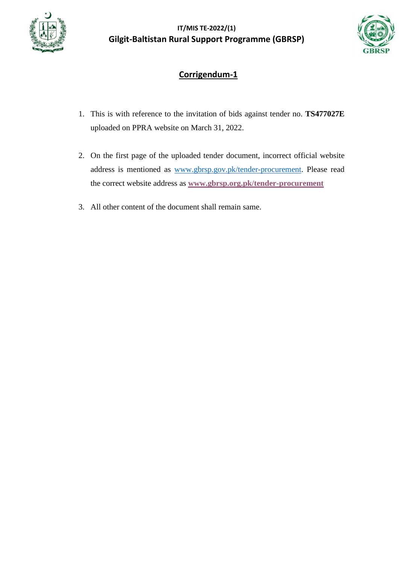



# **Corrigendum-1**

- 1. This is with reference to the invitation of bids against tender no. **TS477027E** uploaded on PPRA website on March 31, 2022.
- 2. On the first page of the uploaded tender document, incorrect official website address is mentioned as [www.gbrsp.gov.pk/tender-procurement.](http://www.gbrsp.gov.pk/tender-procurement) Please read the correct website address as **[www.gbrsp.org.pk/tender-procurement](http://www.gbrsp.org.pk/tender-procurement)**
- 3. All other content of the document shall remain same.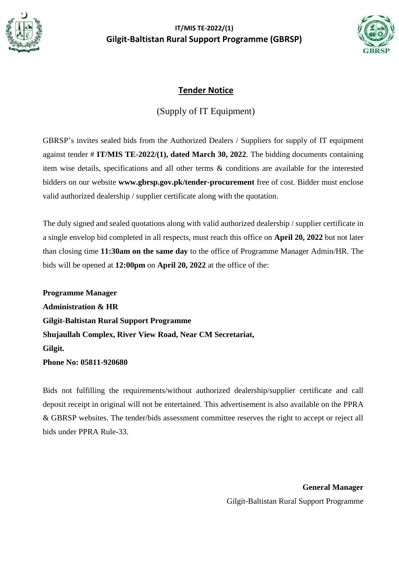



## **Tender Notice**

(Supply of IT Equipment)

GBRSP's invites sealed bids from the Authorized Dealers / Suppliers for supply of IT equipment against tender # **IT/MIS TE-2022/(1), dated March 30, 2022**. The bidding documents containing item wise details, specifications and all other terms & conditions are available for the interested bidders on our website **www.gbrsp.gov.pk/tender-procurement** free of cost. Bidder must enclose valid authorized dealership / supplier certificate along with the quotation.

The duly signed and sealed quotations along with valid authorized dealership / supplier certificate in a single envelop bid completed in all respects, must reach this office on **April 20, 2022** but not later than closing time **11:30am on the same day** to the office of Programme Manager Admin/HR. The bids will be opened at **12:00pm** on **April 20, 2022** at the office of the:

**Programme Manager Administration & HR Gilgit-Baltistan Rural Support Programme Shujaullah Complex, River View Road, Near CM Secretariat, Gilgit. Phone No: 05811-920680**

Bids not fulfilling the requirements/without authorized dealership/supplier certificate and call deposit receipt in original will not be entertained. This advertisement is also available on the PPRA & GBRSP websites. The tender/bids assessment committee reserves the right to accept or reject all bids under PPRA Rule-33.

> **General Manager** Gilgit-Baltistan Rural Support Programme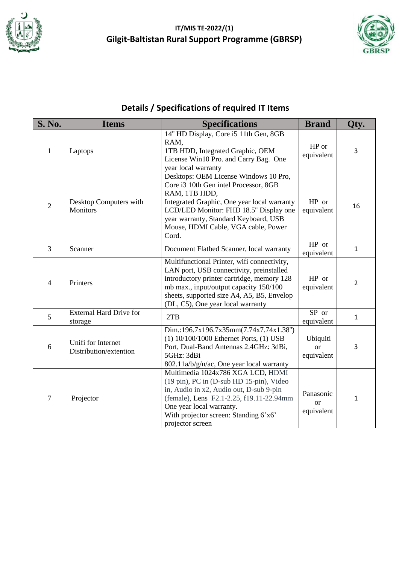



# **Details / Specifications of required IT Items**

| <b>S. No.</b>  | <b>Items</b>                                 | <b>Specifications</b>                                                                                                                                                                                                                                                             | <b>Brand</b>                             | Oty.           |
|----------------|----------------------------------------------|-----------------------------------------------------------------------------------------------------------------------------------------------------------------------------------------------------------------------------------------------------------------------------------|------------------------------------------|----------------|
| $\mathbf{1}$   | Laptops                                      | 14" HD Display, Core i5 11th Gen, 8GB<br>RAM,<br>1TB HDD, Integrated Graphic, OEM<br>License Win10 Pro. and Carry Bag. One<br>year local warranty                                                                                                                                 | HP or<br>equivalent                      | 3              |
| $\overline{2}$ | Desktop Computers with<br><b>Monitors</b>    | Desktops: OEM License Windows 10 Pro,<br>Core i3 10th Gen intel Processor, 8GB<br>RAM, 1TB HDD,<br>Integrated Graphic, One year local warranty<br>LCD/LED Monitor: FHD 18.5" Display one<br>year warranty, Standard Keyboard, USB<br>Mouse, HDMI Cable, VGA cable, Power<br>Cord. | HP or<br>equivalent                      | 16             |
| 3              | Scanner                                      | Document Flatbed Scanner, local warranty                                                                                                                                                                                                                                          | HP or<br>equivalent                      | $\mathbf{1}$   |
| 4              | Printers                                     | Multifunctional Printer, wifi connectivity,<br>LAN port, USB connectivity, preinstalled<br>introductory printer cartridge, memory 128<br>mb max., input/output capacity 150/100<br>sheets, supported size A4, A5, B5, Envelop<br>(DL, C5), One year local warranty                | HP or<br>equivalent                      | $\overline{2}$ |
| 5              | <b>External Hard Drive for</b><br>storage    | 2TB                                                                                                                                                                                                                                                                               | SP or<br>equivalent                      | $\mathbf{1}$   |
| 6              | Unifi for Internet<br>Distribution/extention | Dim.:196.7x196.7x35mm(7.74x7.74x1.38")<br>$(1) 10/100/1000$ Ethernet Ports, $(1)$ USB<br>Port, Dual-Band Antennas 2.4GHz: 3dBi,<br>5GHz: 3dBi<br>802.11a/b/g/n/ac, One year local warranty                                                                                        | Ubiquiti<br><sub>or</sub><br>equivalent  | 3              |
| $\overline{7}$ | Projector                                    | Multimedia 1024x786 XGA LCD, HDMI<br>(19 pin), PC in (D-sub HD 15-pin), Video<br>in, Audio in x2, Audio out, D-sub 9-pin<br>(female), Lens F2.1-2.25, f19.11-22.94mm<br>One year local warranty.<br>With projector screen: Standing 6'x6'<br>projector screen                     | Panasonic<br><sub>or</sub><br>equivalent | $\mathbf{1}$   |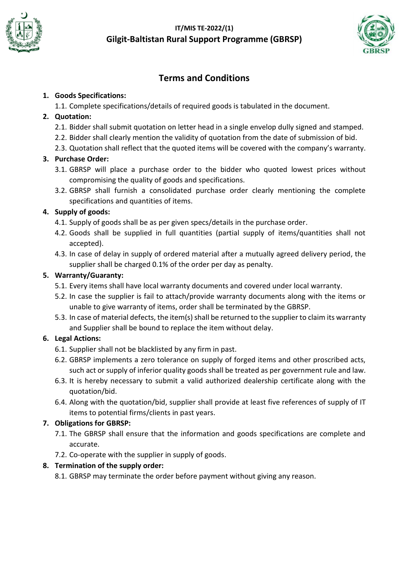



# **Terms and Conditions**

#### **1. Goods Specifications:**

1.1. Complete specifications/details of required goods is tabulated in the document.

#### **2. Quotation:**

- 2.1. Bidder shall submit quotation on letter head in a single envelop dully signed and stamped.
- 2.2. Bidder shall clearly mention the validity of quotation from the date of submission of bid.
- 2.3. Quotation shall reflect that the quoted items will be covered with the company's warranty.

#### **3. Purchase Order:**

- 3.1. GBRSP will place a purchase order to the bidder who quoted lowest prices without compromising the quality of goods and specifications.
- 3.2. GBRSP shall furnish a consolidated purchase order clearly mentioning the complete specifications and quantities of items.

#### **4. Supply of goods:**

- 4.1. Supply of goods shall be as per given specs/details in the purchase order.
- 4.2. Goods shall be supplied in full quantities (partial supply of items/quantities shall not accepted).
- 4.3. In case of delay in supply of ordered material after a mutually agreed delivery period, the supplier shall be charged 0.1% of the order per day as penalty.

#### **5. Warranty/Guaranty:**

- 5.1. Every items shall have local warranty documents and covered under local warranty.
- 5.2. In case the supplier is fail to attach/provide warranty documents along with the items or unable to give warranty of items, order shall be terminated by the GBRSP.
- 5.3. In case of material defects, the item(s) shall be returned to the supplier to claim its warranty and Supplier shall be bound to replace the item without delay.

#### **6. Legal Actions:**

- 6.1. Supplier shall not be blacklisted by any firm in past.
- 6.2. GBRSP implements a zero tolerance on supply of forged items and other proscribed acts, such act or supply of inferior quality goods shall be treated as per government rule and law.
- 6.3. It is hereby necessary to submit a valid authorized dealership certificate along with the quotation/bid.
- 6.4. Along with the quotation/bid, supplier shall provide at least five references of supply of IT items to potential firms/clients in past years.

#### **7. Obligations for GBRSP:**

- 7.1. The GBRSP shall ensure that the information and goods specifications are complete and accurate.
- 7.2. Co-operate with the supplier in supply of goods.

#### **8. Termination of the supply order:**

8.1. GBRSP may terminate the order before payment without giving any reason.